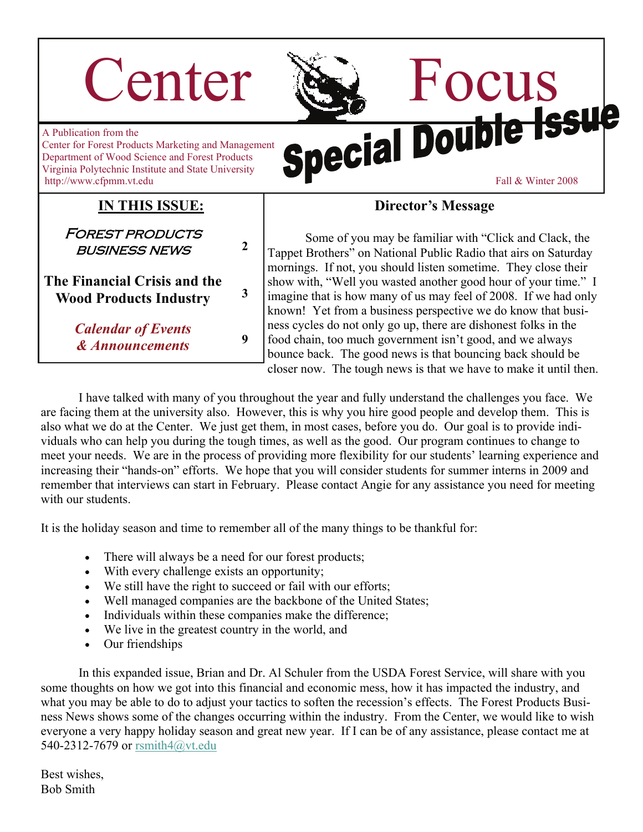# Center & Focus



A Publication from the Center for Forest Products Marketing and Management Department of Wood Science and Forest Products Virginia Polytechnic Institute and State University http://www.cfpmm.vt.edu Fall & Winter 2008

**IN THIS ISSUE:**

business news **2** 

**Wood Products Industry <sup>3</sup>**

*& Announcements* **<sup>9</sup>**

**FOREST PRODUCTS** 

**The Financial Crisis and the** 

*Calendar of Events* 

#### **Director's Message**

 Some of you may be familiar with "Click and Clack, the Tappet Brothers" on National Public Radio that airs on Saturday mornings. If not, you should listen sometime. They close their show with, "Well you wasted another good hour of your time." I imagine that is how many of us may feel of 2008. If we had only known! Yet from a business perspective we do know that business cycles do not only go up, there are dishonest folks in the food chain, too much government isn't good, and we always bounce back. The good news is that bouncing back should be closer now. The tough news is that we have to make it until then.

 I have talked with many of you throughout the year and fully understand the challenges you face. We are facing them at the university also. However, this is why you hire good people and develop them. This is also what we do at the Center. We just get them, in most cases, before you do. Our goal is to provide individuals who can help you during the tough times, as well as the good. Our program continues to change to meet your needs. We are in the process of providing more flexibility for our students' learning experience and increasing their "hands-on" efforts. We hope that you will consider students for summer interns in 2009 and remember that interviews can start in February. Please contact Angie for any assistance you need for meeting with our students.

It is the holiday season and time to remember all of the many things to be thankful for:

- There will always be a need for our forest products;
- With every challenge exists an opportunity;
- We still have the right to succeed or fail with our efforts;
- Well managed companies are the backbone of the United States;
- Individuals within these companies make the difference;
- We live in the greatest country in the world, and
- Our friendships

 In this expanded issue, Brian and Dr. Al Schuler from the USDA Forest Service, will share with you some thoughts on how we got into this financial and economic mess, how it has impacted the industry, and what you may be able to do to adjust your tactics to soften the recession's effects. The Forest Products Business News shows some of the changes occurring within the industry. From the Center, we would like to wish everyone a very happy holiday season and great new year. If I can be of any assistance, please contact me at 540-2312-7679 or [rsmith4@vt.edu](mailto:rsmith4@vt.edu)

Best wishes, Bob Smith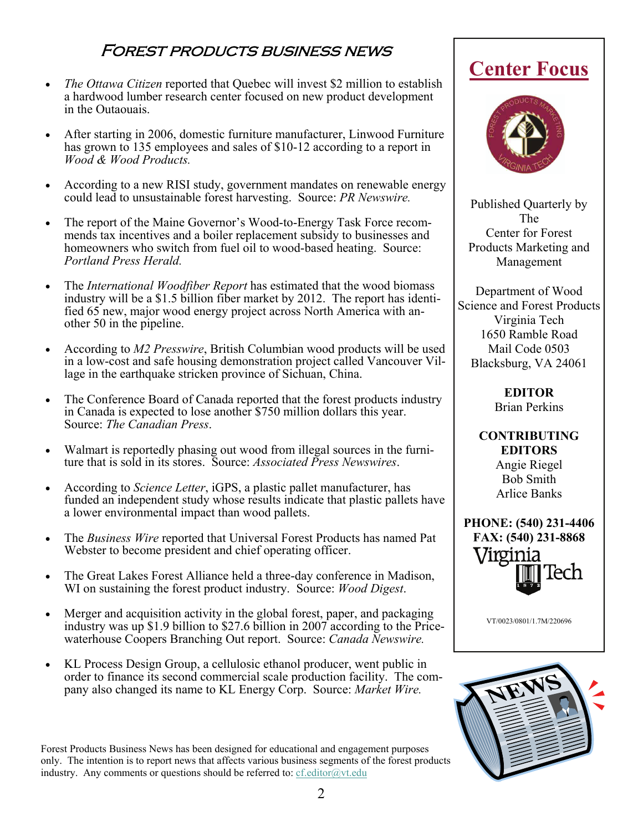### Forest products business news

- *The Ottawa Citizen* reported that Quebec will invest \$2 million to establish a hardwood lumber research center focused on new product development in the Outaouais.
- After starting in 2006, domestic furniture manufacturer, Linwood Furniture has grown to 135 employees and sales of \$10-12 according to a report in *Wood & Wood Products.*
- According to a new RISI study, government mandates on renewable energy could lead to unsustainable forest harvesting. Source: *PR Newswire.*
- The report of the Maine Governor's Wood-to-Energy Task Force recommends tax incentives and a boiler replacement subsidy to businesses and homeowners who switch from fuel oil to wood-based heating. Source: *Portland Press Herald.*
- The *International Woodfiber Report* has estimated that the wood biomass industry will be a \$1.5 billion fiber market by 2012. The report has identified 65 new, major wood energy project across North America with another 50 in the pipeline.
- According to *M2 Presswire*, British Columbian wood products will be used in a low-cost and safe housing demonstration project called Vancouver Village in the earthquake stricken province of Sichuan, China.
- The Conference Board of Canada reported that the forest products industry in Canada is expected to lose another \$750 million dollars this year. Source: *The Canadian Press*.
- Walmart is reportedly phasing out wood from illegal sources in the furniture that is sold in its stores. Source: *Associated Press Newswires*.
- According to *Science Letter*, iGPS, a plastic pallet manufacturer, has funded an independent study whose results indicate that plastic pallets have a lower environmental impact than wood pallets.
- The *Business Wire* reported that Universal Forest Products has named Pat Webster to become president and chief operating officer.
- The Great Lakes Forest Alliance held a three-day conference in Madison, WI on sustaining the forest product industry. Source: *Wood Digest*.
- Merger and acquisition activity in the global forest, paper, and packaging industry was up \$1.9 billion to \$27.6 billion in 2007 according to the Pricewaterhouse Coopers Branching Out report. Source: *Canada Newswire.*
- KL Process Design Group, a cellulosic ethanol producer, went public in order to finance its second commercial scale production facility. The company also changed its name to KL Energy Corp. Source: *Market Wire.*

Forest Products Business News has been designed for educational and engagement purposes only. The intention is to report news that affects various business segments of the forest products industry. Any comments or questions should be referred to:  $cf.$ editor $@$ vt.edu

## **Center Focus**



Published Quarterly by The Center for Forest Products Marketing and Management

Department of Wood Science and Forest Products Virginia Tech 1650 Ramble Road Mail Code 0503 Blacksburg, VA 24061

> **EDITOR**  Brian Perkins

**CONTRIBUTING EDITORS**  Angie Riegel Bob Smith Arlice Banks



VT/0023/0801/1.7M/220696

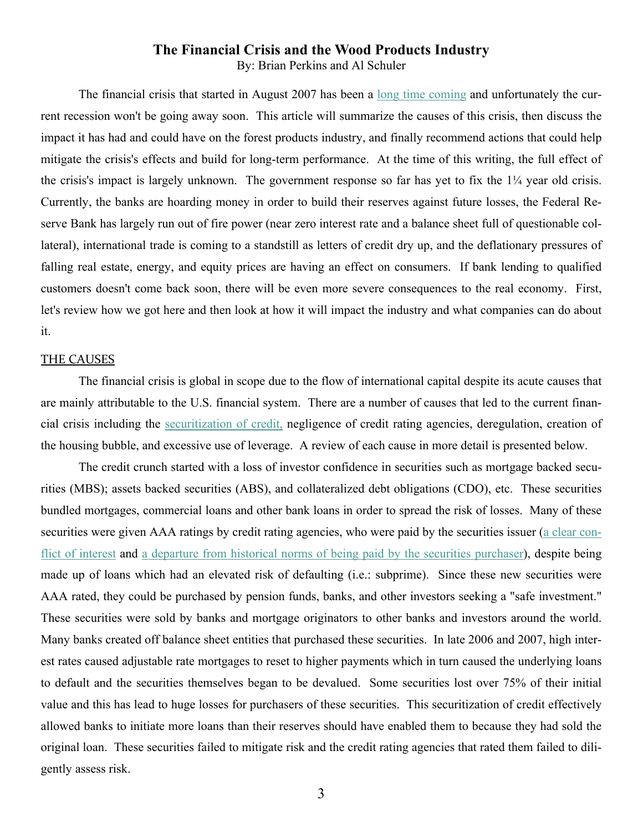#### **The Financial Crisis and the Wood Products Industry**

By: Brian Perkins and Al Schuler

The financial crisis that started in August 2007 has been a [long time coming](http://en.wikipedia.org/wiki/Subprime_crisis_impact_timeline) and unfortunately the current recession won't be going away soon. This article will summarize the causes of this crisis, then discuss the impact it has had and could have on the forest products industry, and finally recommend actions that could help mitigate the crisis's effects and build for long-term performance. At the time of this writing, the full effect of the crisis's impact is largely unknown. The government response so far has yet to fix the 1¼ year old crisis. Currently, the banks are hoarding money in order to build their reserves against future losses, the Federal Reserve Bank has largely run out of fire power (near zero interest rate and a balance sheet full of questionable collateral), international trade is coming to a standstill as letters of credit dry up, and the deflationary pressures of falling real estate, energy, and equity prices are having an effect on consumers. If bank lending to qualified customers doesn't come back soon, there will be even more severe consequences to the real economy. First, let's review how we got here and then look at how it will impact the industry and what companies can do about it.

#### THE CAUSES

The financial crisis is global in scope due to the flow of international capital despite its acute causes that are mainly attributable to the U.S. financial system. There are a number of causes that led to the current financial crisis including the [securitization of credit,](http://en.wikipedia.org/wiki/Securitization) negligence of credit rating agencies, deregulation, creation of the housing bubble, and excessive use of leverage. A review of each cause in more detail is presented below.

The credit crunch started with a loss of investor confidence in securities such as mortgage backed securities (MBS); assets backed securities (ABS), and collateralized debt obligations (CDO), etc. These securities bundled mortgages, commercial loans and other bank loans in order to spread the risk of losses. Many of these securities were given AAA ratings by credit rating agencies, who were paid by the securities issuer ([a clear con](http://www.nytimes.com/2008/04/27/magazine/27Credit-t.html?_r=1&pagewanted=print)[flict of interest](http://www.nytimes.com/2008/04/27/magazine/27Credit-t.html?_r=1&pagewanted=print) and [a departure from historical norms of being paid by the securities purchaser\)](http://www.nytimes.com/2008/12/07/business/07rating.html?pagewanted=all), despite being made up of loans which had an elevated risk of defaulting (i.e.: subprime). Since these new securities were AAA rated, they could be purchased by pension funds, banks, and other investors seeking a "safe investment." These securities were sold by banks and mortgage originators to other banks and investors around the world. Many banks created off balance sheet entities that purchased these securities. In late 2006 and 2007, high interest rates caused adjustable rate mortgages to reset to higher payments which in turn caused the underlying loans to default and the securities themselves began to be devalued. Some securities lost over 75% of their initial value and this has lead to huge losses for purchasers of these securities. This securitization of credit effectively allowed banks to initiate more loans than their reserves should have enabled them to because they had sold the original loan. These securities failed to mitigate risk and the credit rating agencies that rated them failed to diligently assess risk.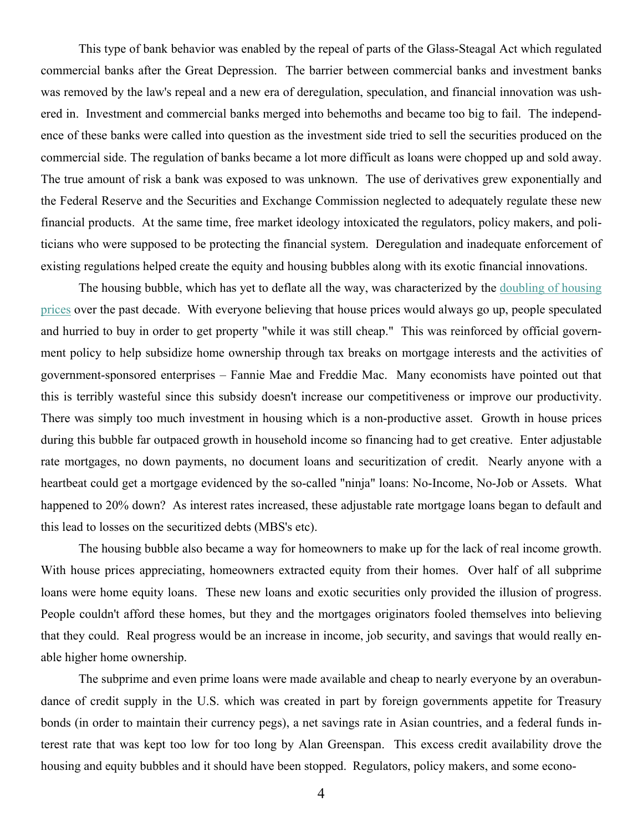This type of bank behavior was enabled by the repeal of parts of the Glass-Steagal Act which regulated commercial banks after the Great Depression. The barrier between commercial banks and investment banks was removed by the law's repeal and a new era of deregulation, speculation, and financial innovation was ushered in. Investment and commercial banks merged into behemoths and became too big to fail. The independence of these banks were called into question as the investment side tried to sell the securities produced on the commercial side. The regulation of banks became a lot more difficult as loans were chopped up and sold away. The true amount of risk a bank was exposed to was unknown. The use of derivatives grew exponentially and the Federal Reserve and the Securities and Exchange Commission neglected to adequately regulate these new financial products. At the same time, free market ideology intoxicated the regulators, policy makers, and politicians who were supposed to be protecting the financial system. Deregulation and inadequate enforcement of existing regulations helped create the equity and housing bubbles along with its exotic financial innovations.

The housing bubble, which has yet to deflate all the way, was characterized by the [doubling of housing](http://www2.standardandpoors.com/portal/site/sp/en/us/page.topic/indices_csmahp/0,0,0,0,0,0,0,0,0,1,1,0,0,0,0,0.html)  [prices](http://www2.standardandpoors.com/portal/site/sp/en/us/page.topic/indices_csmahp/0,0,0,0,0,0,0,0,0,1,1,0,0,0,0,0.html) over the past decade. With everyone believing that house prices would always go up, people speculated and hurried to buy in order to get property "while it was still cheap." This was reinforced by official government policy to help subsidize home ownership through tax breaks on mortgage interests and the activities of government-sponsored enterprises – Fannie Mae and Freddie Mac. Many economists have pointed out that this is terribly wasteful since this subsidy doesn't increase our competitiveness or improve our productivity. There was simply too much investment in housing which is a non-productive asset. Growth in house prices during this bubble far outpaced growth in household income so financing had to get creative. Enter adjustable rate mortgages, no down payments, no document loans and securitization of credit. Nearly anyone with a heartbeat could get a mortgage evidenced by the so-called "ninja" loans: No-Income, No-Job or Assets. What happened to 20% down? As interest rates increased, these adjustable rate mortgage loans began to default and this lead to losses on the securitized debts (MBS's etc).

The housing bubble also became a way for homeowners to make up for the lack of real income growth. With house prices appreciating, homeowners extracted equity from their homes. Over half of all subprime loans were home equity loans. These new loans and exotic securities only provided the illusion of progress. People couldn't afford these homes, but they and the mortgages originators fooled themselves into believing that they could. Real progress would be an increase in income, job security, and savings that would really enable higher home ownership.

The subprime and even prime loans were made available and cheap to nearly everyone by an overabundance of credit supply in the U.S. which was created in part by foreign governments appetite for Treasury bonds (in order to maintain their currency pegs), a net savings rate in Asian countries, and a federal funds interest rate that was kept too low for too long by Alan Greenspan. This excess credit availability drove the housing and equity bubbles and it should have been stopped. Regulators, policy makers, and some econo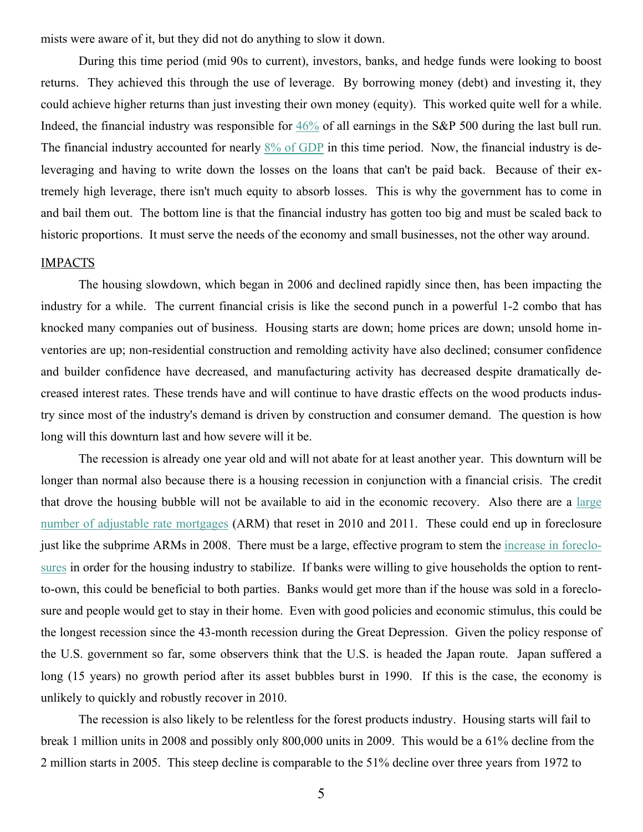mists were aware of it, but they did not do anything to slow it down.

During this time period (mid 90s to current), investors, banks, and hedge funds were looking to boost returns. They achieved this through the use of leverage. By borrowing money (debt) and investing it, they could achieve higher returns than just investing their own money (equity). This worked quite well for a while. Indeed, the financial industry was responsible for [46%](http://www.nakedcapitalism.com/2008/10/treasury-handouts-focus-on-strongest.html) of all earnings in the S&P 500 during the last bull run. The financial industry accounted for nearly [8% of GDP](http://sternfinance.blogspot.com/2008/10/future-of-financial-industry-thomas.html) in this time period. Now, the financial industry is deleveraging and having to write down the losses on the loans that can't be paid back. Because of their extremely high leverage, there isn't much equity to absorb losses. This is why the government has to come in and bail them out. The bottom line is that the financial industry has gotten too big and must be scaled back to historic proportions. It must serve the needs of the economy and small businesses, not the other way around.

#### IMPACTS

The housing slowdown, which began in 2006 and declined rapidly since then, has been impacting the industry for a while. The current financial crisis is like the second punch in a powerful 1-2 combo that has knocked many companies out of business. Housing starts are down; home prices are down; unsold home inventories are up; non-residential construction and remolding activity have also declined; consumer confidence and builder confidence have decreased, and manufacturing activity has decreased despite dramatically decreased interest rates. These trends have and will continue to have drastic effects on the wood products industry since most of the industry's demand is driven by construction and consumer demand. The question is how long will this downturn last and how severe will it be.

The recession is already one year old and will not abate for at least another year. This downturn will be longer than normal also because there is a housing recession in conjunction with a financial crisis. The credit that drove the housing bubble will not be available to aid in the economic recovery. Also there are a [large](http://www.imf.org/external/pubs/ft/gfsr/2007/02/pdf/chap1.pdf)  [number of adjustable rate mortgages](http://www.imf.org/external/pubs/ft/gfsr/2007/02/pdf/chap1.pdf) (ARM) that reset in 2010 and 2011. These could end up in foreclosure just like the subprime ARMs in 2008. There must be a large, effective program to stem the [increase in foreclo](http://calculatedrisk.blogspot.com/2008/12/mba-almost-10-of-homeowners-delinquent.html)[sures](http://calculatedrisk.blogspot.com/2008/12/mba-almost-10-of-homeowners-delinquent.html) in order for the housing industry to stabilize. If banks were willing to give households the option to rentto-own, this could be beneficial to both parties. Banks would get more than if the house was sold in a foreclosure and people would get to stay in their home. Even with good policies and economic stimulus, this could be the longest recession since the 43-month recession during the Great Depression. Given the policy response of the U.S. government so far, some observers think that the U.S. is headed the Japan route. Japan suffered a long (15 years) no growth period after its asset bubbles burst in 1990. If this is the case, the economy is unlikely to quickly and robustly recover in 2010.

 The recession is also likely to be relentless for the forest products industry. Housing starts will fail to break 1 million units in 2008 and possibly only 800,000 units in 2009. This would be a 61% decline from the 2 million starts in 2005. This steep decline is comparable to the 51% decline over three years from 1972 to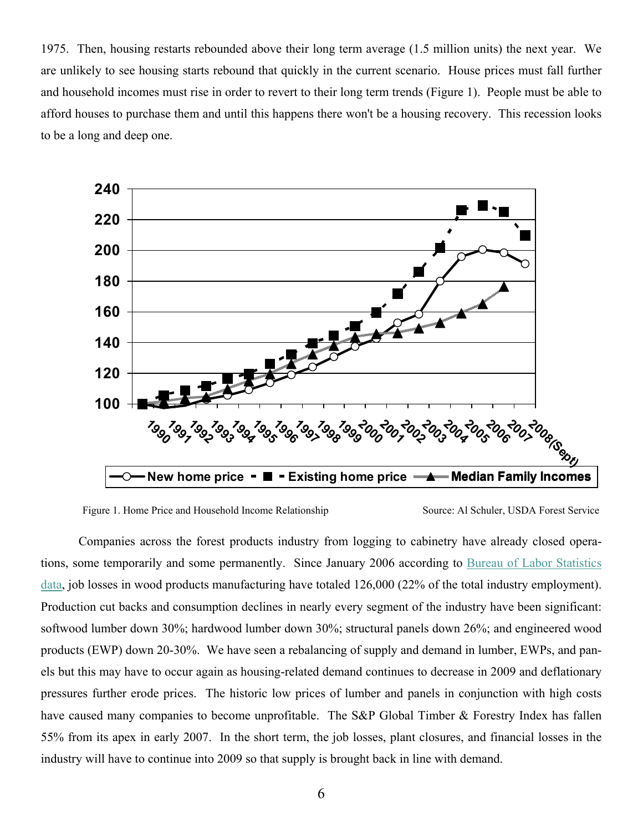1975. Then, housing restarts rebounded above their long term average (1.5 million units) the next year. We are unlikely to see housing starts rebound that quickly in the current scenario. House prices must fall further and household incomes must rise in order to revert to their long term trends (Figure 1). People must be able to afford houses to purchase them and until this happens there won't be a housing recovery. This recession looks to be a long and deep one.



Figure 1. Home Price and Household Income Relationship Source: Al Schuler, USDA Forest Service

Companies across the forest products industry from logging to cabinetry have already closed operations, some temporarily and some permanently. Since January 2006 according to [Bureau of Labor Statistics](http://data.bls.gov/servlet/SurveyOutputServlet?series_id=CES3132100001&data_tool=XGtable)  [data](http://data.bls.gov/servlet/SurveyOutputServlet?series_id=CES3132100001&data_tool=XGtable), job losses in wood products manufacturing have totaled 126,000 (22% of the total industry employment). Production cut backs and consumption declines in nearly every segment of the industry have been significant: softwood lumber down 30%; hardwood lumber down 30%; structural panels down 26%; and engineered wood products (EWP) down 20-30%. We have seen a rebalancing of supply and demand in lumber, EWPs, and panels but this may have to occur again as housing-related demand continues to decrease in 2009 and deflationary pressures further erode prices. The historic low prices of lumber and panels in conjunction with high costs have caused many companies to become unprofitable. The S&P Global Timber & Forestry Index has fallen 55% from its apex in early 2007. In the short term, the job losses, plant closures, and financial losses in the industry will have to continue into 2009 so that supply is brought back in line with demand.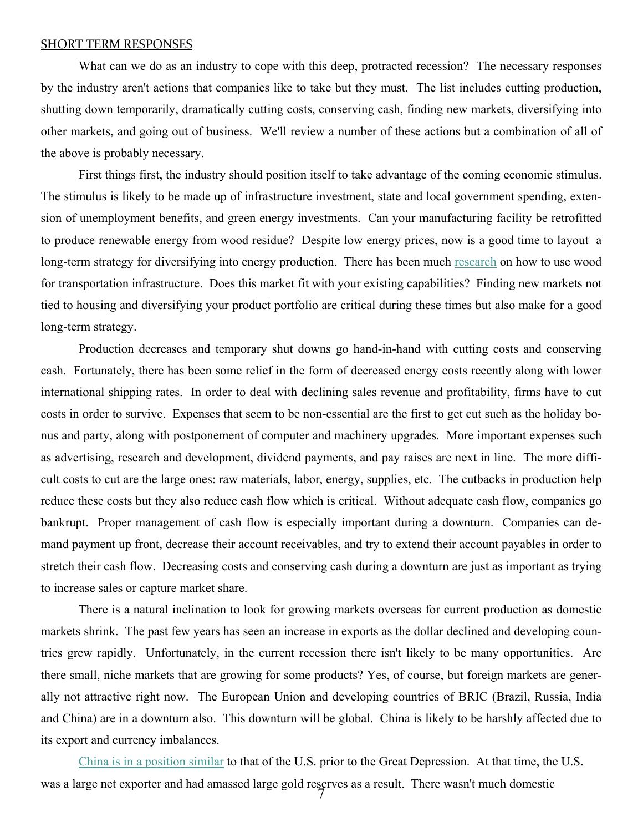#### SHORT TERM RESPONSES

What can we do as an industry to cope with this deep, protracted recession? The necessary responses by the industry aren't actions that companies like to take but they must. The list includes cutting production, shutting down temporarily, dramatically cutting costs, conserving cash, finding new markets, diversifying into other markets, and going out of business. We'll review a number of these actions but a combination of all of the above is probably necessary.

First things first, the industry should position itself to take advantage of the coming economic stimulus. The stimulus is likely to be made up of infrastructure investment, state and local government spending, extension of unemployment benefits, and green energy investments. Can your manufacturing facility be retrofitted to produce renewable energy from wood residue? Despite low energy prices, now is a good time to layout a long-term strategy for diversifying into energy production. There has been much [research](http://www.fpl.fs.fed.us/wit) on how to use wood for transportation infrastructure. Does this market fit with your existing capabilities? Finding new markets not tied to housing and diversifying your product portfolio are critical during these times but also make for a good long-term strategy.

Production decreases and temporary shut downs go hand-in-hand with cutting costs and conserving cash. Fortunately, there has been some relief in the form of decreased energy costs recently along with lower international shipping rates. In order to deal with declining sales revenue and profitability, firms have to cut costs in order to survive. Expenses that seem to be non-essential are the first to get cut such as the holiday bonus and party, along with postponement of computer and machinery upgrades. More important expenses such as advertising, research and development, dividend payments, and pay raises are next in line. The more difficult costs to cut are the large ones: raw materials, labor, energy, supplies, etc. The cutbacks in production help reduce these costs but they also reduce cash flow which is critical. Without adequate cash flow, companies go bankrupt. Proper management of cash flow is especially important during a downturn. Companies can demand payment up front, decrease their account receivables, and try to extend their account payables in order to stretch their cash flow. Decreasing costs and conserving cash during a downturn are just as important as trying to increase sales or capture market share.

There is a natural inclination to look for growing markets overseas for current production as domestic markets shrink. The past few years has seen an increase in exports as the dollar declined and developing countries grew rapidly. Unfortunately, in the current recession there isn't likely to be many opportunities. Are there small, niche markets that are growing for some products? Yes, of course, but foreign markets are generally not attractive right now. The European Union and developing countries of BRIC (Brazil, Russia, India and China) are in a downturn also. This downturn will be global. China is likely to be harshly affected due to its export and currency imbalances.

7 [China is in a position similar](http://www.nakedcapitalism.com/2008/11/chinas-smoot-hawley.html) to that of the U.S. prior to the Great Depression. At that time, the U.S. was a large net exporter and had amassed large gold reserves as a result. There wasn't much domestic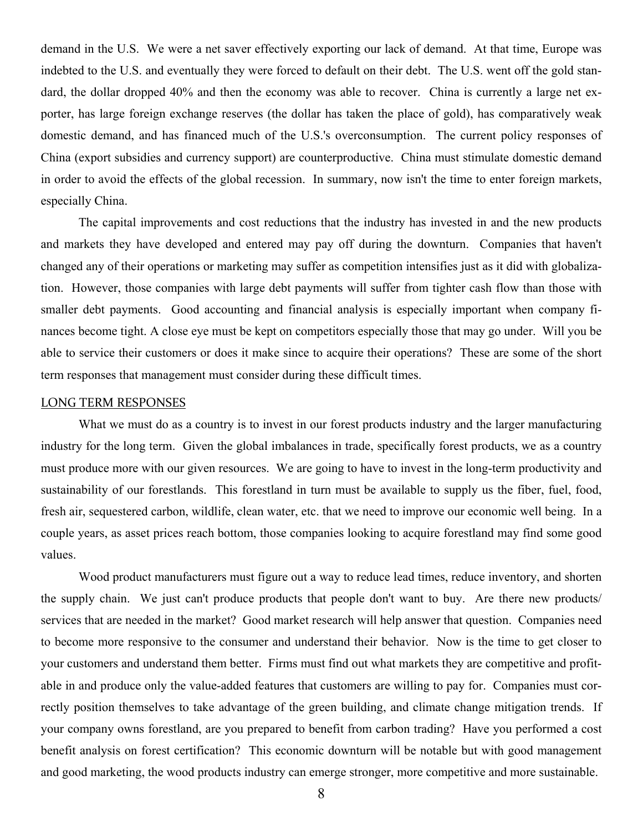demand in the U.S. We were a net saver effectively exporting our lack of demand. At that time, Europe was indebted to the U.S. and eventually they were forced to default on their debt. The U.S. went off the gold standard, the dollar dropped 40% and then the economy was able to recover. China is currently a large net exporter, has large foreign exchange reserves (the dollar has taken the place of gold), has comparatively weak domestic demand, and has financed much of the U.S.'s overconsumption. The current policy responses of China (export subsidies and currency support) are counterproductive. China must stimulate domestic demand in order to avoid the effects of the global recession. In summary, now isn't the time to enter foreign markets, especially China.

The capital improvements and cost reductions that the industry has invested in and the new products and markets they have developed and entered may pay off during the downturn. Companies that haven't changed any of their operations or marketing may suffer as competition intensifies just as it did with globalization. However, those companies with large debt payments will suffer from tighter cash flow than those with smaller debt payments. Good accounting and financial analysis is especially important when company finances become tight. A close eye must be kept on competitors especially those that may go under. Will you be able to service their customers or does it make since to acquire their operations? These are some of the short term responses that management must consider during these difficult times.

#### LONG TERM RESPONSES

What we must do as a country is to invest in our forest products industry and the larger manufacturing industry for the long term. Given the global imbalances in trade, specifically forest products, we as a country must produce more with our given resources. We are going to have to invest in the long-term productivity and sustainability of our forestlands. This forestland in turn must be available to supply us the fiber, fuel, food, fresh air, sequestered carbon, wildlife, clean water, etc. that we need to improve our economic well being. In a couple years, as asset prices reach bottom, those companies looking to acquire forestland may find some good values.

Wood product manufacturers must figure out a way to reduce lead times, reduce inventory, and shorten the supply chain. We just can't produce products that people don't want to buy. Are there new products/ services that are needed in the market? Good market research will help answer that question. Companies need to become more responsive to the consumer and understand their behavior. Now is the time to get closer to your customers and understand them better. Firms must find out what markets they are competitive and profitable in and produce only the value-added features that customers are willing to pay for. Companies must correctly position themselves to take advantage of the green building, and climate change mitigation trends. If your company owns forestland, are you prepared to benefit from carbon trading? Have you performed a cost benefit analysis on forest certification? This economic downturn will be notable but with good management and good marketing, the wood products industry can emerge stronger, more competitive and more sustainable.

8